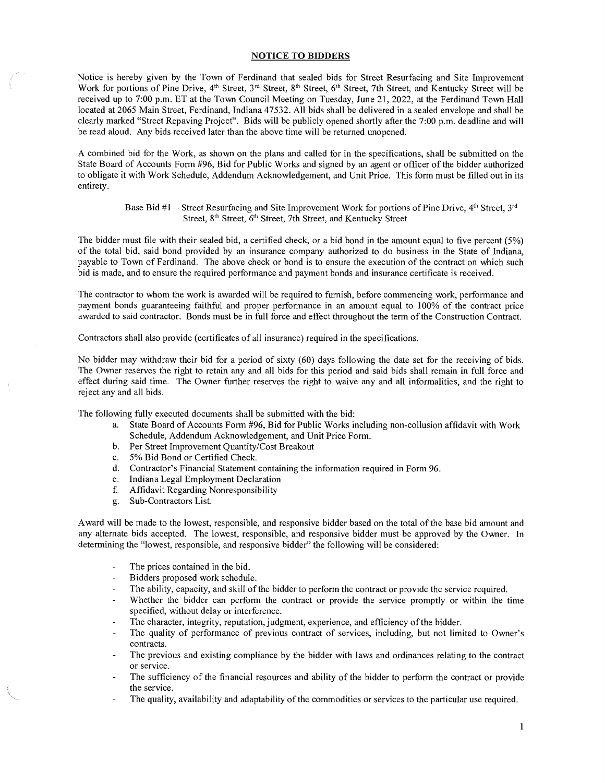## NOTICE TO BIDDERS

Notice is hereby given by the Town of Ferdinand that sealed bids for Street Resurfacing and Site Improvement Work for portions of Pine Drive,  $4^{th}$  Street,  $3^{rd}$  Street,  $8^{th}$  Street,  $6^{th}$  Street, 7th Street, and Kentucky Street will be received up to 7:00 p.m. ET at the Town Council Meeting on Tuesday, June 21, 2022, at the Ferdinand Town Hall located at 2065 Main Street, Ferdinand, Indiana 47532. All bids shall be delivered in a sealed envelope and shall be clearly marked "Street Repaving Project". Bids will be publicly opened shortly after the 7:00 p.m. deadline and will be read aloud. Any bids received later than the above time will be returned unopened.

A combined bid for the Work, as shown on the plans and called for in the specifications, shall be submitted on the State Board of Accounts Form #96, Bid for Public Works and signed by an agent or officer of the bidder authorized to obligate it with Work Schedule, Addendum Acknowledgement, and Unit Price. This form must be filled out in its entirety.

## Base Bid #1 – Street Resurfacing and Site Improvement Work for portions of Pine Drive,  $4<sup>th</sup>$  Street,  $3<sup>rd</sup>$ Street, 8<sup>th</sup> Street, 6<sup>th</sup> Street, 7th Street, and Kentucky Street

The bidder must file with their sealed bid, a certified check, or a bid bond in the amount equal to five percent (5%) of the total bid, said bond provided by an insurance company authorized to do business in the State of Indiana, payable to Town of Ferdinand. The above check or bond is to ensure the execution of the contract on which such bid is made, and to ensure the required performance and payment bonds and insurance certificate is received.

The contractor to whom the work is awarded will be required to fumish, before commencing work, performance and payment bonds guaranteeing faithful and proper performance in an amount equal to 100% of the contract price awarded to said contractor. Bonds must be in full force and effect throughout the term of the Construction Contract.

Contractors shall also provide (certificates of all insurance) required in the specifications.

No bidder may withdraw their bid for a period of sixty (60) days following the date set for the receiving of bids. The Owner reserves the right to retain any and all bids for this period and said bids shall remain in full force and effect during said time. The Owner further reserves the right to waive any and all informalities, and the right to reject any and all bids.

The following fully executed documents shall be submitted with the bid:

- a. State Board of Accounts Form #96, Bid for Public Works including non-collusion affidavit with Work Schedule, Addendum Acknowledgement, and Unit Price Form.
- b. Per Street Improvement Quantity/Cost Breakout
- c. 5% Bid Bond or Certified Check.
- d. Contractor's Financial Statement containing the information required in Form 96.
- e. Indiana Legal Employment Declaration
- f. Affidavit Regarding Nonresponsibility
- g. Sub-Contractors List.

Award will be made to the lowest, responsible, and responsive bidder based on the total of the base bid amount and any alternate bids accepted. The lowest, responsible, and responsive bidder must be approved by the Owner. In determining the "lowest, responsible, and responsive bidder" the following will be considered:

- The prices contained in the bid.
- Bidders proposed work schedule.
- The ability, capacity, and skill of the bidder to perform the contract or provide the service required.
- Whether the bidder can perform the contract or provide the service promptly or within the time specified, without delay or interference.
- The character, integrity, reputation, judgment, experience, and efficiency of the bidder.
- The quality of performance of previous contract of services, including, but not limited to Owner's contracts.
- The previous and existing compliance by the bidder with laws and ordinances relating to the contract or service.
- The sufficiency of the financial resources and ability of the bidder to perform the contract or provide the service.
- The quality, availability and adaptability of the commodities or services to the particular use required.